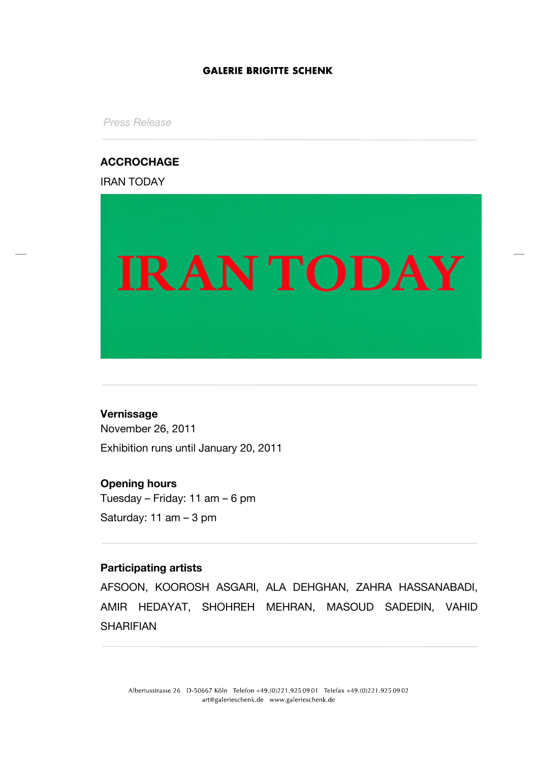### **GALERIE BRIGITTE SCHENK**

*Press Release*

# **ACCROCHAGE**

IRAN TODAY



## **Vernissage**

November 26, 2011 Exhibition runs until January 20, 2011

# **Opening hours**

Tuesday – Friday: 11 am – 6 pm Saturday: 11 am – 3 pm

## **Participating artists**

AFSOON, KOOROSH ASGARI, ALA DEHGHAN, ZAHRA HASSANABADI, AMIR HEDAYAT, SHOHREH MEHRAN, MASOUD SADEDIN, VAHID SHARIFIAN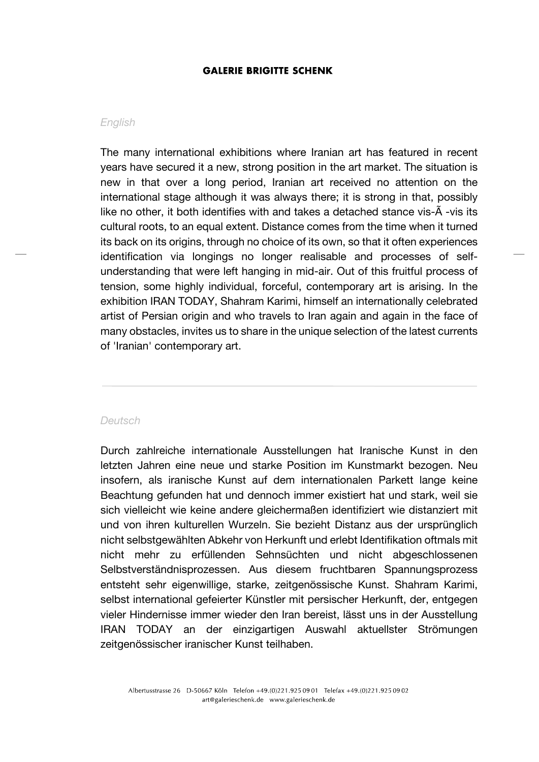#### **GALERIE BRIGITTE SCHENK**

#### *English*

The many international exhibitions where Iranian art has featured in recent years have secured it a new, strong position in the art market. The situation is new in that over a long period, Iranian art received no attention on the international stage although it was always there; it is strong in that, possibly like no other, it both identifies with and takes a detached stance vis-Ã -vis its cultural roots, to an equal extent. Distance comes from the time when it turned its back on its origins, through no choice of its own, so that it often experiences identification via longings no longer realisable and processes of selfunderstanding that were left hanging in mid-air. Out of this fruitful process of tension, some highly individual, forceful, contemporary art is arising. In the exhibition IRAN TODAY, Shahram Karimi, himself an internationally celebrated artist of Persian origin and who travels to Iran again and again in the face of many obstacles, invites us to share in the unique selection of the latest currents of 'Iranian' contemporary art.

#### *Deutsch*

Durch zahlreiche internationale Ausstellungen hat Iranische Kunst in den letzten Jahren eine neue und starke Position im Kunstmarkt bezogen. Neu insofern, als iranische Kunst auf dem internationalen Parkett lange keine Beachtung gefunden hat und dennoch immer existiert hat und stark, weil sie sich vielleicht wie keine andere gleichermaßen identifiziert wie distanziert mit und von ihren kulturellen Wurzeln. Sie bezieht Distanz aus der ursprünglich nicht selbstgewählten Abkehr von Herkunft und erlebt Identifikation oftmals mit nicht mehr zu erfüllenden Sehnsüchten und nicht abgeschlossenen Selbstverständnisprozessen. Aus diesem fruchtbaren Spannungsprozess entsteht sehr eigenwillige, starke, zeitgenössische Kunst. Shahram Karimi, selbst international gefeierter Künstler mit persischer Herkunft, der, entgegen vieler Hindernisse immer wieder den Iran bereist, lässt uns in der Ausstellung IRAN TODAY an der einzigartigen Auswahl aktuellster Strömungen zeitgenössischer iranischer Kunst teilhaben.